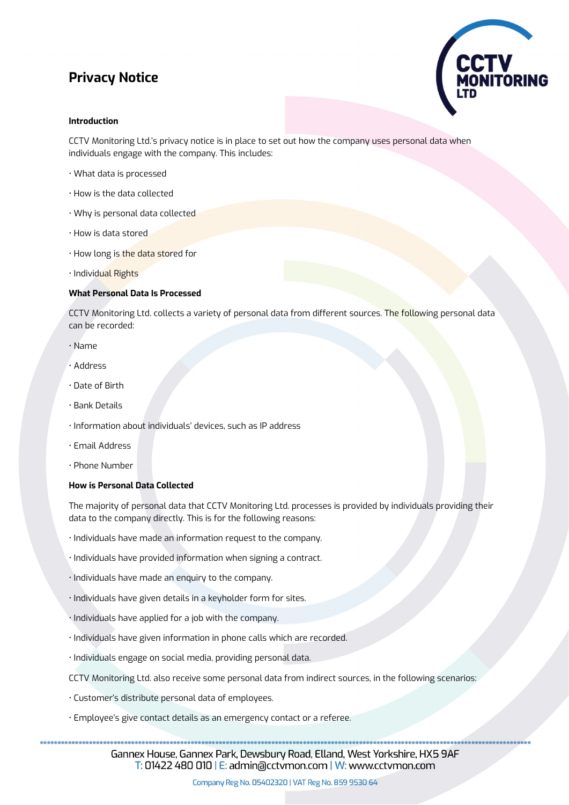# **Privacy Notice**



# **Introduction**

CCTV Monitoring Ltd.'s privacy notice is in place to set out how the company uses personal data when individuals engage with the company. This includes:

- What data is processed
- How is the data collected
- Why is personal data collected
- How is data stored
- How long is the data stored for
- Individual Rights

# **What Personal Data Is Processed**

CCTV Monitoring Ltd. collects a variety of personal data from different sources. The following personal data can be recorded:

- Name
- Address
- Date of Birth
- Bank Details
- Information about individuals' devices, such as IP address
- Email Address
- Phone Number

#### **How is Personal Data Collected**

The majority of personal data that CCTV Monitoring Ltd. processes is provided by individuals providing their data to the company directly. This is for the following reasons:

- Individuals have made an information request to the company.
- Individuals have provided information when signing a contract.
- Individuals have made an enquiry to the company.
- Individuals have given details in a keyholder form for sites.
- Individuals have applied for a job with the company.
- Individuals have given information in phone calls which are recorded.
- Individuals engage on social media, providing personal data.
- CCTV Monitoring Ltd. also receive some personal data from indirect sources, in the following scenarios:
- Customer's distribute personal data of employees.
- Employee's give contact details as an emergency contact or a referee.

Gannex House, Gannex Park, Dewsbury Road, Elland, West Yorkshire, HX5 9AF T: 01422 480 010 | E: admin@cctvmon.com | W: www.cctvmon.com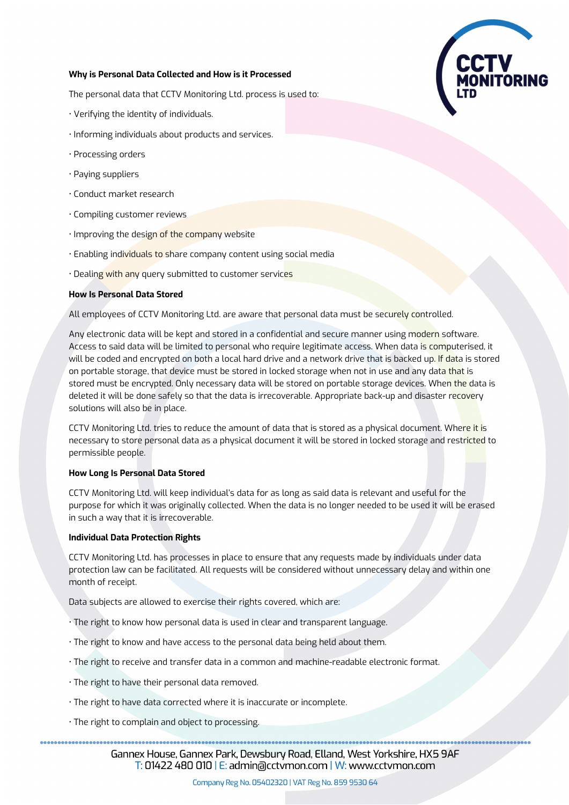### **Why is Personal Data Collected and How is it Processed**

The personal data that CCTV Monitoring Ltd. process is used to:

- Verifying the identity of individuals.
- Informing individuals about products and services.
- Processing orders
- Paying suppliers
- Conduct market research
- Compiling customer reviews
- Improving the design of the company website
- Enabling individuals to share company content using social media
- Dealing with any query submitted to customer services

#### **How Is Personal Data Stored**

All employees of CCTV Monitoring Ltd. are aware that personal data must be securely controlled.

Any electronic data will be kept and stored in a confidential and secure manner using modern software. Access to said data will be limited to personal who require legitimate access. When data is computerised, it will be coded and encrypted on both a local hard drive and a network drive that is backed up. If data is stored on portable storage, that device must be stored in locked storage when not in use and any data that is stored must be encrypted. Only necessary data will be stored on portable storage devices. When the data is deleted it will be done safely so that the data is irrecoverable. Appropriate back-up and disaster recovery solutions will also be in place.

CCTV Monitoring Ltd. tries to reduce the amount of data that is stored as a physical document. Where it is necessary to store personal data as a physical document it will be stored in locked storage and restricted to permissible people.

#### **How Long Is Personal Data Stored**

CCTV Monitoring Ltd. will keep individual's data for as long as said data is relevant and useful for the purpose for which it was originally collected. When the data is no longer needed to be used it will be erased in such a way that it is irrecoverable.

#### **Individual Data Protection Rights**

CCTV Monitoring Ltd. has processes in place to ensure that any requests made by individuals under data protection law can be facilitated. All requests will be considered without unnecessary delay and within one month of receipt.

Data subjects are allowed to exercise their rights covered, which are:

- The right to know how personal data is used in clear and transparent language.
- The right to know and have access to the personal data being held about them.
- The right to receive and transfer data in a common and machine-readable electronic format.
- The right to have their personal data removed.
- The right to have data corrected where it is inaccurate or incomplete.
- The right to complain and object to processing.

Gannex House, Gannex Park, Dewsbury Road, Elland, West Yorkshire, HX5 9AF  $\overline{T}$ : 01422 480 010 | E: admin@cctvmon.com | W: www.cctvmon.com